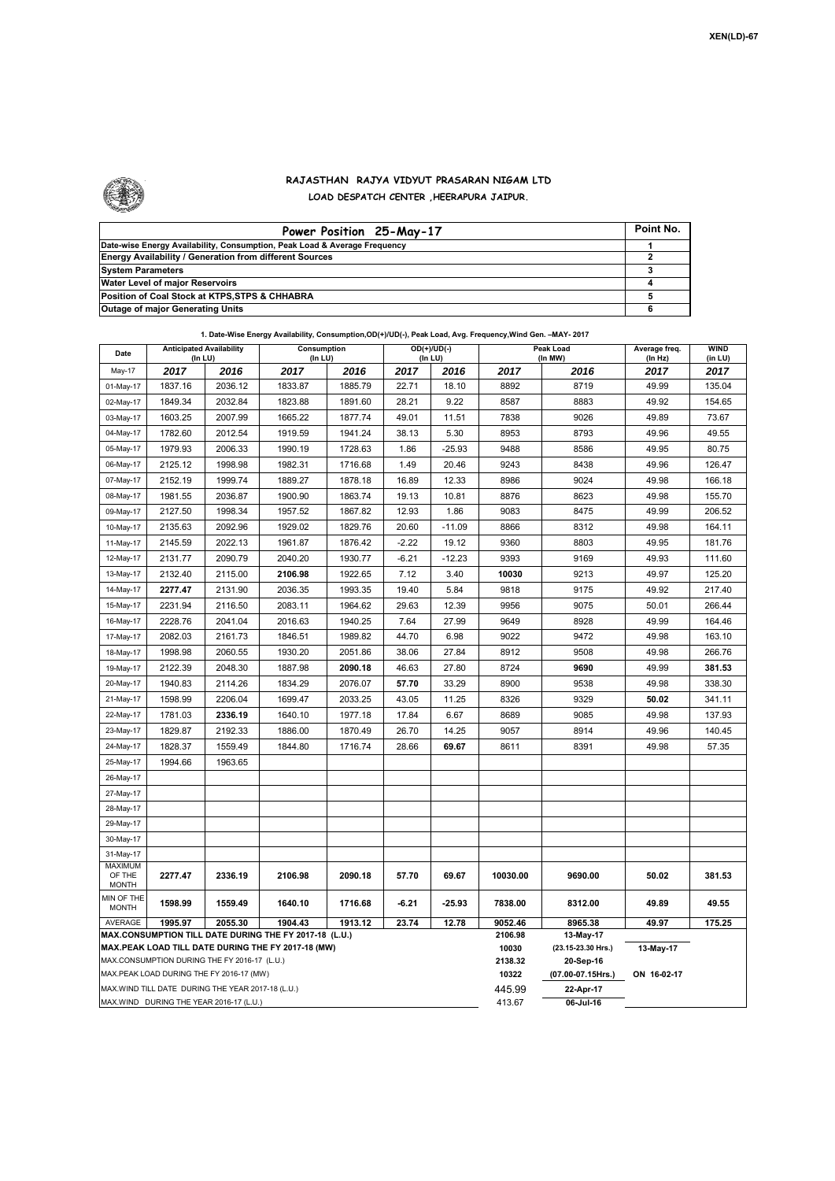

## **RAJASTHAN RAJYA VIDYUT PRASARAN NIGAM LTD LOAD DESPATCH CENTER ,HEERAPURA JAIPUR.**

| Power Position 25-May-17                                                  | Point No. |
|---------------------------------------------------------------------------|-----------|
| Date-wise Energy Availability, Consumption, Peak Load & Average Frequency |           |
| <b>Energy Availability / Generation from different Sources</b>            |           |
| <b>System Parameters</b>                                                  |           |
| Water Level of major Reservoirs                                           |           |
| Position of Coal Stock at KTPS, STPS & CHHABRA                            |           |
| <b>Outage of major Generating Units</b>                                   |           |

|  | 1. Date-Wise Energy Availability, Consumption,OD(+)/UD(-), Peak Load, Avg. Frequency, Wind Gen. -MAY- 2017 |
|--|------------------------------------------------------------------------------------------------------------|
|--|------------------------------------------------------------------------------------------------------------|

| Date                                                                                               | <b>Anticipated Availability</b><br>(In LU)                 |         | Consumption<br>(In LU) |         | $OD(+)/UD(-)$<br>(In LU) |                  | Peak Load<br>(In MW)            |             | Average freq.<br>(In Hz) | <b>WIND</b><br>(in LU) |  |
|----------------------------------------------------------------------------------------------------|------------------------------------------------------------|---------|------------------------|---------|--------------------------|------------------|---------------------------------|-------------|--------------------------|------------------------|--|
| May-17                                                                                             | 2017                                                       | 2016    | 2017                   | 2016    | 2017                     | 2016             | 2017                            | 2016        | 2017                     | 2017                   |  |
| 01-May-17                                                                                          | 1837.16                                                    | 2036.12 | 1833.87                | 1885.79 | 22.71                    | 18.10            | 8892                            | 8719        | 49.99                    | 135.04                 |  |
| 02-May-17                                                                                          | 1849.34                                                    | 2032.84 | 1823.88                | 1891.60 | 28.21                    | 9.22             | 8587                            | 8883        | 49.92                    | 154.65                 |  |
| 03-May-17                                                                                          | 1603.25                                                    | 2007.99 | 1665.22                | 1877.74 | 49.01                    | 11.51            | 7838                            | 9026        | 49.89                    | 73.67                  |  |
| 04-May-17                                                                                          | 1782.60                                                    | 2012.54 | 1919.59                | 1941.24 | 38.13                    | 5.30             | 8953                            | 8793        | 49.96                    | 49.55                  |  |
| 05-May-17                                                                                          | 1979.93                                                    | 2006.33 | 1990.19                | 1728.63 | 1.86                     | $-25.93$         | 9488                            | 8586        | 49.95                    | 80.75                  |  |
| 06-May-17                                                                                          | 2125.12                                                    | 1998.98 | 1982.31                | 1716.68 | 1.49                     | 20.46            | 9243                            | 8438        | 49.96                    | 126.47                 |  |
| 07-May-17                                                                                          | 2152.19                                                    | 1999.74 | 1889.27                | 1878.18 | 16.89                    | 12.33            | 8986                            | 9024        | 49.98                    | 166.18                 |  |
| 08-May-17                                                                                          | 1981.55                                                    | 2036.87 | 1900.90                | 1863.74 | 19.13                    | 10.81            | 8876                            | 8623        | 49.98                    | 155.70                 |  |
| 09-May-17                                                                                          | 2127.50                                                    | 1998.34 | 1957.52                | 1867.82 | 12.93                    | 1.86             | 9083                            | 8475        | 49.99                    | 206.52                 |  |
| 10-May-17                                                                                          | 2135.63                                                    | 2092.96 | 1929.02                | 1829.76 | 20.60                    | $-11.09$         | 8866                            | 8312        | 49.98                    | 164.11                 |  |
| 11-May-17                                                                                          | 2145.59                                                    | 2022.13 | 1961.87                | 1876.42 | $-2.22$                  | 19.12            | 9360                            | 8803        | 49.95                    | 181.76                 |  |
| 12-May-17                                                                                          | 2131.77                                                    | 2090.79 | 2040.20                | 1930.77 | $-6.21$                  | $-12.23$         | 9393                            | 9169        | 49.93                    | 111.60                 |  |
| 13-May-17                                                                                          | 2132.40                                                    | 2115.00 | 2106.98                | 1922.65 | 7.12                     | 3.40             | 10030                           | 9213        | 49.97                    | 125.20                 |  |
| 14-May-17                                                                                          | 2277.47                                                    | 2131.90 | 2036.35                | 1993.35 | 19.40                    | 5.84             | 9818                            | 9175        | 49.92                    | 217.40                 |  |
| 15-May-17                                                                                          | 2231.94                                                    | 2116.50 | 2083.11                | 1964.62 | 29.63                    | 12.39            | 9956                            | 9075        | 50.01                    | 266.44                 |  |
| 16-May-17                                                                                          | 2228.76                                                    | 2041.04 | 2016.63                | 1940.25 | 7.64                     | 27.99            | 9649                            | 8928        | 49.99                    | 164.46                 |  |
| 17-May-17                                                                                          | 2082.03                                                    | 2161.73 | 1846.51                | 1989.82 | 44.70                    | 6.98             | 9022                            | 9472        | 49.98                    | 163.10                 |  |
| 18-May-17                                                                                          | 1998.98                                                    | 2060.55 | 1930.20                | 2051.86 | 38.06                    | 27.84            | 8912                            | 9508        | 49.98                    | 266.76                 |  |
| 19-May-17                                                                                          | 2122.39                                                    | 2048.30 | 1887.98                | 2090.18 | 46.63                    | 27.80            | 8724                            | 9690        | 49.99                    | 381.53                 |  |
| 20-May-17                                                                                          | 1940.83                                                    | 2114.26 | 1834.29                | 2076.07 | 57.70                    | 33.29            | 8900                            | 9538        | 49.98                    | 338.30                 |  |
| 21-May-17                                                                                          | 1598.99                                                    | 2206.04 | 1699.47                | 2033.25 | 43.05                    | 11.25            | 8326                            | 9329        | 50.02                    | 341.11                 |  |
| 22-May-17                                                                                          | 1781.03                                                    | 2336.19 | 1640.10                | 1977.18 | 17.84                    | 6.67             | 8689                            | 9085        | 49.98                    | 137.93                 |  |
| 23-May-17                                                                                          | 1829.87                                                    | 2192.33 | 1886.00                | 1870.49 | 26.70                    | 14.25            | 9057                            | 8914        | 49.96                    | 140.45                 |  |
| 24-May-17                                                                                          | 1828.37                                                    | 1559.49 | 1844.80                | 1716.74 | 28.66                    | 69.67            | 8611                            | 8391        | 49.98                    | 57.35                  |  |
| 25-May-17                                                                                          | 1994.66                                                    | 1963.65 |                        |         |                          |                  |                                 |             |                          |                        |  |
| 26-May-17                                                                                          |                                                            |         |                        |         |                          |                  |                                 |             |                          |                        |  |
| 27-May-17                                                                                          |                                                            |         |                        |         |                          |                  |                                 |             |                          |                        |  |
| 28-May-17                                                                                          |                                                            |         |                        |         |                          |                  |                                 |             |                          |                        |  |
| 29-May-17                                                                                          |                                                            |         |                        |         |                          |                  |                                 |             |                          |                        |  |
| 30-May-17                                                                                          |                                                            |         |                        |         |                          |                  |                                 |             |                          |                        |  |
| 31-May-17                                                                                          |                                                            |         |                        |         |                          |                  |                                 |             |                          |                        |  |
| <b>MAXIMUM</b><br>OF THE                                                                           | 2277.47                                                    | 2336.19 | 2106.98                | 2090.18 | 57.70                    | 69.67            | 10030.00                        | 9690.00     | 50.02                    | 381.53                 |  |
| <b>MONTH</b><br>MIN OF THE                                                                         |                                                            |         |                        |         |                          |                  |                                 |             |                          |                        |  |
| <b>MONTH</b>                                                                                       | 1598.99                                                    | 1559.49 | 1640.10                | 1716.68 | $-6.21$                  | $-25.93$         | 7838.00                         | 8312.00     | 49.89                    | 49.55                  |  |
| AVERAGE                                                                                            | 1995.97<br>2055.30<br>1904.43<br>1913.12<br>23.74<br>12.78 |         |                        |         | 9052.46                  | 8965.38          | 49.97                           | 175.25      |                          |                        |  |
| MAX.CONSUMPTION TILL DATE DURING THE FY 2017-18 (L.U.)                                             |                                                            |         |                        |         |                          | 2106.98<br>10030 | 13-May-17<br>(23.15-23.30 Hrs.) | 13-May-17   |                          |                        |  |
| MAX.PEAK LOAD TILL DATE DURING THE FY 2017-18 (MW)<br>MAX.CONSUMPTION DURING THE FY 2016-17 (L.U.) |                                                            |         |                        |         |                          | 2138.32          | 20-Sep-16                       |             |                          |                        |  |
| MAX.PEAK LOAD DURING THE FY 2016-17 (MW)                                                           |                                                            |         |                        |         |                          | 10322            | (07.00-07.15Hrs.)               | ON 16-02-17 |                          |                        |  |
| MAX.WIND TILL DATE DURING THE YEAR 2017-18 (L.U.)                                                  |                                                            |         |                        |         | 445.99                   | 22-Apr-17        |                                 |             |                          |                        |  |
| MAX.WIND DURING THE YEAR 2016-17 (L.U.)                                                            |                                                            |         |                        |         |                          |                  | 413.67                          | 06-Jul-16   |                          |                        |  |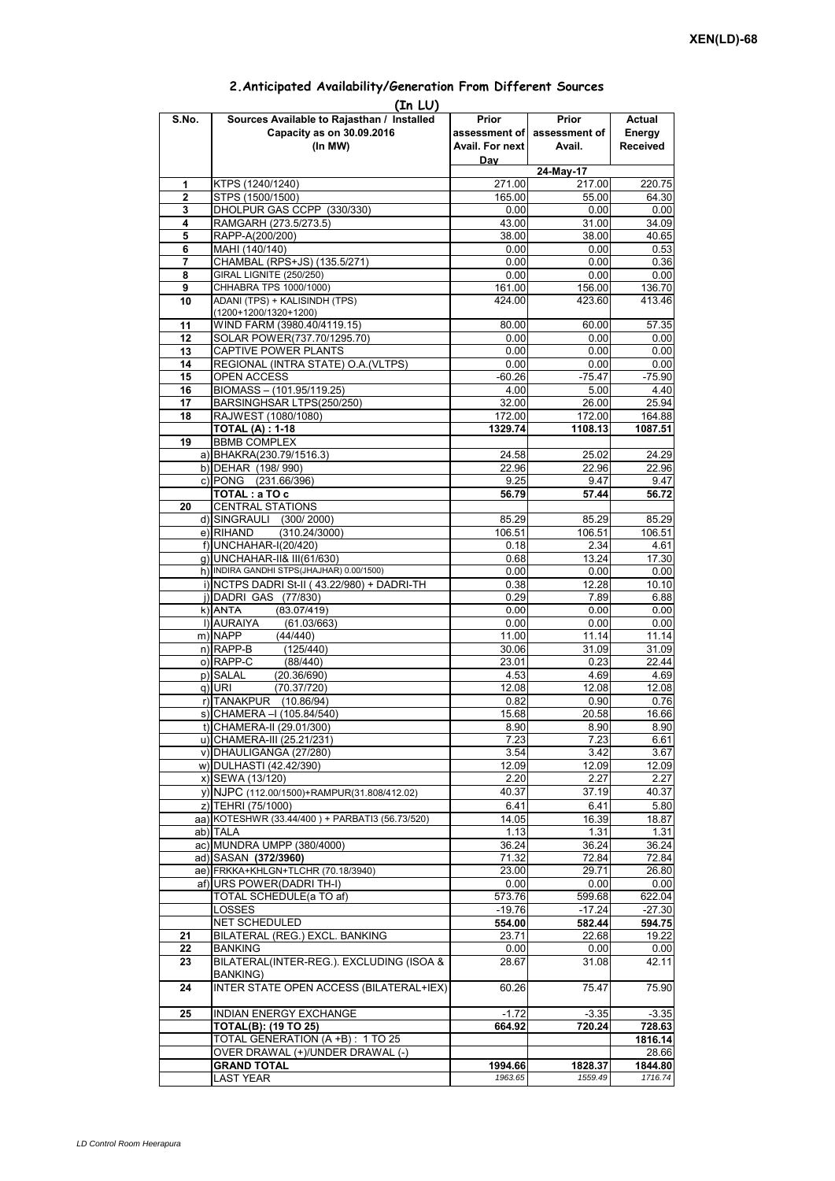|       | (In LU)                                             |                 |                             |                 |
|-------|-----------------------------------------------------|-----------------|-----------------------------|-----------------|
| S.No. | Sources Available to Rajasthan / Installed          | Prior           | Prior                       | Actual          |
|       | Capacity as on 30.09.2016                           |                 | assessment of assessment of | Energy          |
|       | (In MW)                                             | Avail. For next | Avail.                      | <b>Received</b> |
|       |                                                     | Day             |                             |                 |
|       |                                                     |                 | $24$ -May-17                |                 |
| 1     | KTPS (1240/1240)                                    | 271.00          | 217.00                      | 220.75          |
| 2     | STPS (1500/1500)                                    | 165.00          | 55.00                       | 64.30           |
| 3     | DHOLPUR GAS CCPP (330/330)                          | 0.00            | 0.00                        | 0.00            |
| 4     | RAMGARH (273.5/273.5)                               | 43.00           | 31.00                       | 34.09           |
| 5     | RAPP-A(200/200)                                     | 38.00           | 38.00                       | 40.65           |
| 6     | MAHI (140/140)                                      | 0.00            | 0.00                        | 0.53            |
| 7     | CHAMBAL (RPS+JS) (135.5/271)                        | 0.00            | 0.00                        | 0.36            |
| 8     | GIRAL LIGNITE (250/250)                             | 0.00            | 0.00                        | 0.00            |
| 9     | CHHABRA TPS 1000/1000)                              | 161.00          | 156.00                      | 136.70          |
| 10    | ADANI (TPS) + KALISINDH (TPS)                       | 424.00          | 423.60                      | 413.46          |
|       | $(1200+1200/1320+1200)$                             |                 |                             |                 |
| 11    | WIND FARM (3980.40/4119.15)                         | 80.00           | 60.00                       | 57.35           |
| 12    | SOLAR POWER(737.70/1295.70)                         | 0.00            | 0.00                        | 0.00            |
| 13    | CAPTIVE POWER PLANTS                                | 0.00            | 0.00                        | 0.00            |
| 14    | REGIONAL (INTRA STATE) O.A. (VLTPS)                 | 0.00            | 0.00                        | 0.00            |
| 15    | OPEN ACCESS                                         | $-60.26$        | $-75.47$                    | $-75.90$        |
| 16    | BIOMASS - (101.95/119.25)                           | 4.00            | 5.00                        | 4.40            |
| 17    | BARSINGHSAR LTPS(250/250)                           | 32.00           | 26.00                       | 25.94           |
| 18    | RAJWEST (1080/1080)                                 | 172.00          | 172.00                      | 164.88          |
|       | <b>TOTAL (A) : 1-18</b>                             | 1329.74         | 1108.13                     | 1087.51         |
| 19    | <b>BBMB COMPLEX</b>                                 |                 |                             |                 |
|       |                                                     | 24.58           | 25.02                       | 24.29           |
|       | a) BHAKRA(230.79/1516.3)                            |                 |                             |                 |
|       | b) DEHAR (198/990)<br>c) PONG (231.66/396)          | 22.96           | 22.96                       | 22.96           |
|       |                                                     | 9.25            | 9.47                        | 9.47            |
|       | TOTAL: a TO c                                       | 56.79           | 57.44                       | 56.72           |
| 20    | <b>CENTRAL STATIONS</b>                             |                 |                             |                 |
|       | d) SINGRAULI (300/2000)                             | 85.29           | 85.29                       | 85.29           |
|       | (310.24/3000)<br>e) RIHAND                          | 106.51          | 106.51                      | 106.51          |
|       | f) UNCHAHAR-I(20/420)                               | 0.18            | 2.34                        | 4.61            |
|       | g) UNCHAHAR-II& III(61/630)                         | 0.68            | 13.24                       | 17.30           |
|       | h) INDIRA GANDHI STPS(JHAJHAR) 0.00/1500)           | 0.00            | 0.00                        | 0.00            |
|       | i) NCTPS DADRI St-II (43.22/980) + DADRI-TH         | 0.38            | 12.28                       | 10.10           |
|       | j) DADRI GAS (77/830)                               | 0.29            | 7.89                        | 6.88            |
|       | k) ANTA<br>(83.07/419)                              | 0.00            | 0.00                        | 0.00            |
|       | I) AURAIYA<br>(61.03/663)                           | 0.00            | 0.00                        | 0.00            |
|       | m) NAPP<br>(44/440)                                 | 11.00           | 11.14                       | 11.14           |
|       | $n)$ RAPP-B<br>(125/440)                            | 30.06           | 31.09                       | 31.09           |
|       | o) RAPP-C<br>(88/440)                               | 23.01           | 0.23                        | 22.44           |
|       | p) SALAL<br>(20.36/690)                             | 4.53            | 4.69                        | 4.69            |
|       | q) URI<br>(70.37/720)                               | 12.08           | 12.08                       | 12.08           |
|       | r) TANAKPUR (10.86/94)                              | 0.82            | 0.90                        | 0.76            |
|       | s) CHAMERA - (105.84/540)                           | 15.68           | 20.58                       | 16.66           |
|       | t) CHAMERA-II (29.01/300)                           | 8.90            | 8.90                        | 8.90            |
|       | u) CHAMERA-III (25.21/231)                          | 7.23            | 7.23                        | 6.61            |
|       | v) DHAULIGANGA (27/280)                             | 3.54            | 3.42                        | 3.67            |
|       | w) DULHASTI (42.42/390)                             | 12.09           | 12.09                       | 12.09           |
|       | x) SEWA (13/120)                                    | 2.20            | 2.27                        | 2.27            |
|       | y) NJPC (112.00/1500) + RAMPUR(31.808/412.02)       | 40.37           | 37.19                       | 40.37           |
|       | z) TEHRI (75/1000)                                  | 6.41            | 6.41                        | 5.80            |
|       | aa) KOTESHWR (33.44/400) + PARBATI3 (56.73/520)     | 14.05           | 16.39                       | 18.87           |
|       | ab) TALA                                            | 1.13            | 1.31                        | 1.31            |
|       | ac) MUNDRA UMPP (380/4000)                          | 36.24           | 36.24                       | 36.24           |
|       | ad) SASAN (372/3960)                                |                 |                             |                 |
|       | ae) FRKKA+KHLGN+TLCHR (70.18/3940)                  | 71.32           | 72.84                       | 72.84           |
|       |                                                     | 23.00           | 29.71                       | 26.80           |
|       | af) URS POWER(DADRI TH-I)                           | 0.00            | 0.00                        | 0.00            |
|       | TOTAL SCHEDULE(a TO af)                             | 573.76          | 599.68                      | 622.04          |
|       | LOSSES                                              | $-19.76$        | $-17.24$                    | $-27.30$        |
|       | NET SCHEDULED                                       | 554.00          | 582.44                      | 594.75          |
| 21    | BILATERAL (REG.) EXCL. BANKING                      | 23.71           | 22.68                       | 19.22           |
| 22    | <b>BANKING</b>                                      | 0.00            | 0.00                        | 0.00            |
| 23    | BILATERAL(INTER-REG.). EXCLUDING (ISOA &            | 28.67           | 31.08                       | 42.11           |
| 24    | BANKING)<br>INTER STATE OPEN ACCESS (BILATERAL+IEX) | 60.26           | 75.47                       | 75.90           |
|       |                                                     |                 |                             |                 |
| 25    | INDIAN ENERGY EXCHANGE                              | $-1.72$         | $-3.35$                     | $-3.35$         |
|       | <b>TOTAL(B): (19 TO 25)</b>                         | 664.92          | 720.24                      | 728.63          |
|       | TOTAL GENERATION (A +B) : 1 TO 25                   |                 |                             | 1816.14         |
|       | OVER DRAWAL (+)/UNDER DRAWAL (-)                    |                 |                             | 28.66           |
|       | <b>GRAND TOTAL</b>                                  | 1994.66         | 1828.37                     | 1844.80         |
|       | <b>LAST YEAR</b>                                    | 1963.65         | 1559.49                     | 1716.74         |

## **2.Anticipated Availability/Generation From Different Sources**